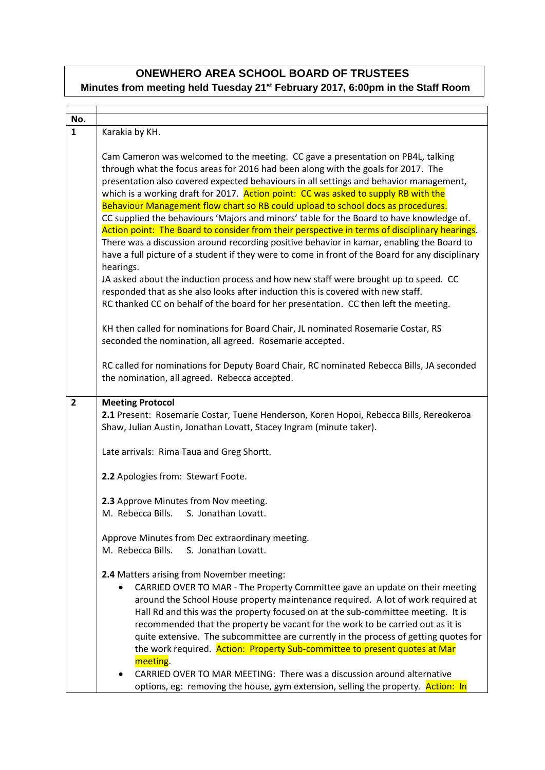## **ONEWHERO AREA SCHOOL BOARD OF TRUSTEES Minutes from meeting held Tuesday 21st February 2017, 6:00pm in the Staff Room**

| No.                     |                                                                                                                                                                                                                                                                                                                                                                                                                                                                                                                                                                                                                                                                                                                                                                                                                                                       |
|-------------------------|-------------------------------------------------------------------------------------------------------------------------------------------------------------------------------------------------------------------------------------------------------------------------------------------------------------------------------------------------------------------------------------------------------------------------------------------------------------------------------------------------------------------------------------------------------------------------------------------------------------------------------------------------------------------------------------------------------------------------------------------------------------------------------------------------------------------------------------------------------|
| $\mathbf{1}$            | Karakia by KH.                                                                                                                                                                                                                                                                                                                                                                                                                                                                                                                                                                                                                                                                                                                                                                                                                                        |
|                         | Cam Cameron was welcomed to the meeting. CC gave a presentation on PB4L, talking<br>through what the focus areas for 2016 had been along with the goals for 2017. The<br>presentation also covered expected behaviours in all settings and behavior management,<br>which is a working draft for 2017. Action point: CC was asked to supply RB with the<br>Behaviour Management flow chart so RB could upload to school docs as procedures.<br>CC supplied the behaviours 'Majors and minors' table for the Board to have knowledge of.<br>Action point: The Board to consider from their perspective in terms of disciplinary hearings.<br>There was a discussion around recording positive behavior in kamar, enabling the Board to<br>have a full picture of a student if they were to come in front of the Board for any disciplinary<br>hearings. |
|                         | JA asked about the induction process and how new staff were brought up to speed. CC<br>responded that as she also looks after induction this is covered with new staff.<br>RC thanked CC on behalf of the board for her presentation. CC then left the meeting.                                                                                                                                                                                                                                                                                                                                                                                                                                                                                                                                                                                       |
|                         | KH then called for nominations for Board Chair, JL nominated Rosemarie Costar, RS<br>seconded the nomination, all agreed. Rosemarie accepted.                                                                                                                                                                                                                                                                                                                                                                                                                                                                                                                                                                                                                                                                                                         |
|                         | RC called for nominations for Deputy Board Chair, RC nominated Rebecca Bills, JA seconded<br>the nomination, all agreed. Rebecca accepted.                                                                                                                                                                                                                                                                                                                                                                                                                                                                                                                                                                                                                                                                                                            |
| $\overline{\mathbf{2}}$ | <b>Meeting Protocol</b>                                                                                                                                                                                                                                                                                                                                                                                                                                                                                                                                                                                                                                                                                                                                                                                                                               |
|                         | 2.1 Present: Rosemarie Costar, Tuene Henderson, Koren Hopoi, Rebecca Bills, Rereokeroa<br>Shaw, Julian Austin, Jonathan Lovatt, Stacey Ingram (minute taker).                                                                                                                                                                                                                                                                                                                                                                                                                                                                                                                                                                                                                                                                                         |
|                         |                                                                                                                                                                                                                                                                                                                                                                                                                                                                                                                                                                                                                                                                                                                                                                                                                                                       |
|                         | Late arrivals: Rima Taua and Greg Shortt.                                                                                                                                                                                                                                                                                                                                                                                                                                                                                                                                                                                                                                                                                                                                                                                                             |
|                         | 2.2 Apologies from: Stewart Foote.                                                                                                                                                                                                                                                                                                                                                                                                                                                                                                                                                                                                                                                                                                                                                                                                                    |
|                         | 2.3 Approve Minutes from Nov meeting.                                                                                                                                                                                                                                                                                                                                                                                                                                                                                                                                                                                                                                                                                                                                                                                                                 |
|                         | M. Rebecca Bills.<br>S. Jonathan Lovatt.                                                                                                                                                                                                                                                                                                                                                                                                                                                                                                                                                                                                                                                                                                                                                                                                              |
|                         |                                                                                                                                                                                                                                                                                                                                                                                                                                                                                                                                                                                                                                                                                                                                                                                                                                                       |
|                         | Approve Minutes from Dec extraordinary meeting.                                                                                                                                                                                                                                                                                                                                                                                                                                                                                                                                                                                                                                                                                                                                                                                                       |
|                         | M. Rebecca Bills. S. Jonathan Lovatt.                                                                                                                                                                                                                                                                                                                                                                                                                                                                                                                                                                                                                                                                                                                                                                                                                 |
|                         | 2.4 Matters arising from November meeting:<br>CARRIED OVER TO MAR - The Property Committee gave an update on their meeting<br>around the School House property maintenance required. A lot of work required at<br>Hall Rd and this was the property focused on at the sub-committee meeting. It is<br>recommended that the property be vacant for the work to be carried out as it is<br>quite extensive. The subcommittee are currently in the process of getting quotes for<br>the work required. Action: Property Sub-committee to present quotes at Mar<br>meeting.<br>CARRIED OVER TO MAR MEETING: There was a discussion around alternative                                                                                                                                                                                                     |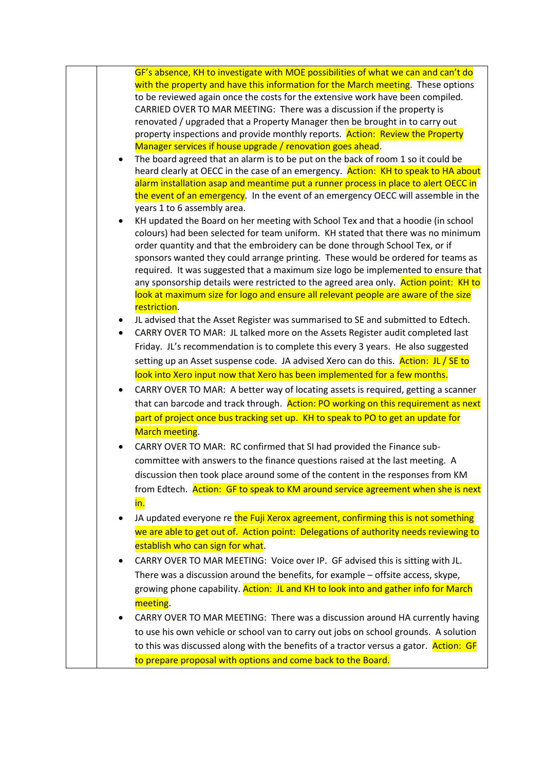|           | GF's absence, KH to investigate with MOE possibilities of what we can and can't do                                                                                    |
|-----------|-----------------------------------------------------------------------------------------------------------------------------------------------------------------------|
|           | with the property and have this information for the March meeting. These options                                                                                      |
|           | to be reviewed again once the costs for the extensive work have been compiled.<br>CARRIED OVER TO MAR MEETING: There was a discussion if the property is              |
|           | renovated / upgraded that a Property Manager then be brought in to carry out                                                                                          |
|           | property inspections and provide monthly reports. <b>Action: Review the Property</b>                                                                                  |
|           | Manager services if house upgrade / renovation goes ahead.                                                                                                            |
|           | The board agreed that an alarm is to be put on the back of room 1 so it could be                                                                                      |
|           | heard clearly at OECC in the case of an emergency. Action: KH to speak to HA about                                                                                    |
|           | alarm installation asap and meantime put a runner process in place to alert OECC in                                                                                   |
|           | the event of an emergency. In the event of an emergency OECC will assemble in the                                                                                     |
|           | years 1 to 6 assembly area.                                                                                                                                           |
|           | KH updated the Board on her meeting with School Tex and that a hoodie (in school                                                                                      |
|           | colours) had been selected for team uniform. KH stated that there was no minimum                                                                                      |
|           | order quantity and that the embroidery can be done through School Tex, or if                                                                                          |
|           | sponsors wanted they could arrange printing. These would be ordered for teams as<br>required. It was suggested that a maximum size logo be implemented to ensure that |
|           | any sponsorship details were restricted to the agreed area only. Action point: KH to                                                                                  |
|           | look at maximum size for logo and ensure all relevant people are aware of the size                                                                                    |
|           | restriction.                                                                                                                                                          |
|           | JL advised that the Asset Register was summarised to SE and submitted to Edtech.                                                                                      |
| $\bullet$ | CARRY OVER TO MAR: JL talked more on the Assets Register audit completed last                                                                                         |
|           | Friday. JL's recommendation is to complete this every 3 years. He also suggested                                                                                      |
|           | setting up an Asset suspense code. JA advised Xero can do this. Action: JL / SE to                                                                                    |
|           | look into Xero input now that Xero has been implemented for a few months.                                                                                             |
|           | CARRY OVER TO MAR: A better way of locating assets is required, getting a scanner                                                                                     |
|           | that can barcode and track through. Action: PO working on this requirement as next                                                                                    |
|           | part of project once bus tracking set up. KH to speak to PO to get an update for                                                                                      |
|           | March meeting.                                                                                                                                                        |
|           | CARRY OVER TO MAR: RC confirmed that SI had provided the Finance sub-                                                                                                 |
|           | committee with answers to the finance questions raised at the last meeting. A                                                                                         |
|           | discussion then took place around some of the content in the responses from KM                                                                                        |
|           | from Edtech. Action: GF to speak to KM around service agreement when she is next                                                                                      |
|           | in.                                                                                                                                                                   |
|           |                                                                                                                                                                       |
| $\bullet$ | JA updated everyone re the Fuji Xerox agreement, confirming this is not something                                                                                     |
|           | we are able to get out of. Action point: Delegations of authority needs reviewing to                                                                                  |
|           | establish who can sign for what.                                                                                                                                      |
| ٠         | CARRY OVER TO MAR MEETING: Voice over IP. GF advised this is sitting with JL.                                                                                         |
|           | There was a discussion around the benefits, for example - offsite access, skype,                                                                                      |
|           | growing phone capability. Action: JL and KH to look into and gather info for March                                                                                    |
|           | meeting.                                                                                                                                                              |
| $\bullet$ | CARRY OVER TO MAR MEETING: There was a discussion around HA currently having                                                                                          |
|           | to use his own vehicle or school van to carry out jobs on school grounds. A solution                                                                                  |
|           | to this was discussed along with the benefits of a tractor versus a gator. Action: GF                                                                                 |
|           | to prepare proposal with options and come back to the Board.                                                                                                          |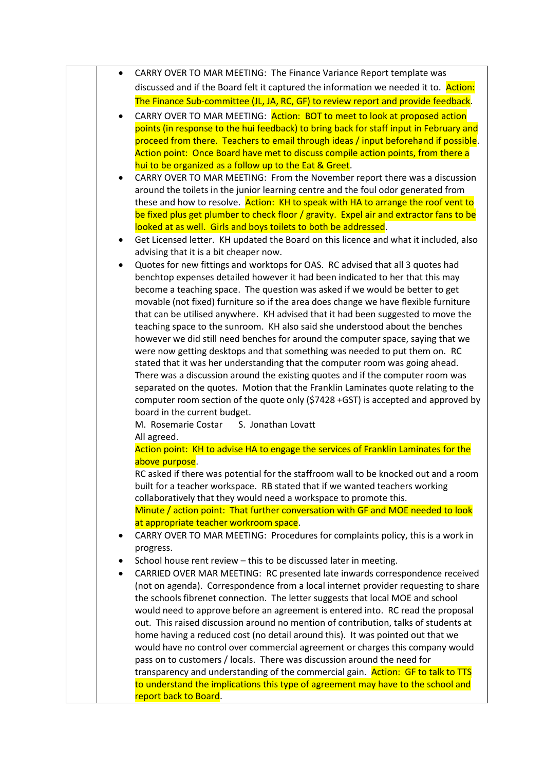|           | CARRY OVER TO MAR MEETING: The Finance Variance Report template was                                                                                             |
|-----------|-----------------------------------------------------------------------------------------------------------------------------------------------------------------|
|           | discussed and if the Board felt it captured the information we needed it to. Action:                                                                            |
|           | The Finance Sub-committee (JL, JA, RC, GF) to review report and provide feedback.                                                                               |
|           | CARRY OVER TO MAR MEETING: Action: BOT to meet to look at proposed action                                                                                       |
|           | points (in response to the hui feedback) to bring back for staff input in February and                                                                          |
|           | proceed from there. Teachers to email through ideas / input beforehand if possible.                                                                             |
|           | Action point: Once Board have met to discuss compile action points, from there a                                                                                |
|           | hui to be organized as a follow up to the Eat & Greet.                                                                                                          |
| ٠         | CARRY OVER TO MAR MEETING: From the November report there was a discussion                                                                                      |
|           | around the toilets in the junior learning centre and the foul odor generated from                                                                               |
|           | these and how to resolve. Action: KH to speak with HA to arrange the roof vent to                                                                               |
|           | be fixed plus get plumber to check floor / gravity. Expel air and extractor fans to be                                                                          |
|           | looked at as well. Girls and boys toilets to both be addressed.                                                                                                 |
| $\bullet$ | Get Licensed letter. KH updated the Board on this licence and what it included, also                                                                            |
|           | advising that it is a bit cheaper now.                                                                                                                          |
|           | Quotes for new fittings and worktops for OAS. RC advised that all 3 quotes had                                                                                  |
|           | benchtop expenses detailed however it had been indicated to her that this may                                                                                   |
|           | become a teaching space. The question was asked if we would be better to get                                                                                    |
|           | movable (not fixed) furniture so if the area does change we have flexible furniture                                                                             |
|           | that can be utilised anywhere. KH advised that it had been suggested to move the                                                                                |
|           | teaching space to the sunroom. KH also said she understood about the benches<br>however we did still need benches for around the computer space, saying that we |
|           | were now getting desktops and that something was needed to put them on. RC                                                                                      |
|           | stated that it was her understanding that the computer room was going ahead.                                                                                    |
|           | There was a discussion around the existing quotes and if the computer room was                                                                                  |
|           | separated on the quotes. Motion that the Franklin Laminates quote relating to the                                                                               |
|           | computer room section of the quote only (\$7428 +GST) is accepted and approved by                                                                               |
|           | board in the current budget.                                                                                                                                    |
|           | S. Jonathan Lovatt<br>M. Rosemarie Costar                                                                                                                       |
|           | All agreed.                                                                                                                                                     |
|           | Action point: KH to advise HA to engage the services of Franklin Laminates for the                                                                              |
|           | above purpose.                                                                                                                                                  |
|           | RC asked if there was potential for the staffroom wall to be knocked out and a room                                                                             |
|           | built for a teacher workspace. RB stated that if we wanted teachers working<br>collaboratively that they would need a workspace to promote this.                |
|           | Minute / action point: That further conversation with GF and MOE needed to look                                                                                 |
|           | at appropriate teacher workroom space.                                                                                                                          |
|           | CARRY OVER TO MAR MEETING: Procedures for complaints policy, this is a work in                                                                                  |
|           | progress.                                                                                                                                                       |
|           | School house rent review - this to be discussed later in meeting.                                                                                               |
|           | CARRIED OVER MAR MEETING: RC presented late inwards correspondence received                                                                                     |
|           | (not on agenda). Correspondence from a local internet provider requesting to share                                                                              |
|           | the schools fibrenet connection. The letter suggests that local MOE and school                                                                                  |
|           | would need to approve before an agreement is entered into. RC read the proposal                                                                                 |
|           | out. This raised discussion around no mention of contribution, talks of students at                                                                             |
|           | home having a reduced cost (no detail around this). It was pointed out that we                                                                                  |
|           | would have no control over commercial agreement or charges this company would                                                                                   |
|           | pass on to customers / locals. There was discussion around the need for                                                                                         |
|           | transparency and understanding of the commercial gain. Action: GF to talk to TTS                                                                                |
|           | to understand the implications this type of agreement may have to the school and<br>report back to Board.                                                       |
|           |                                                                                                                                                                 |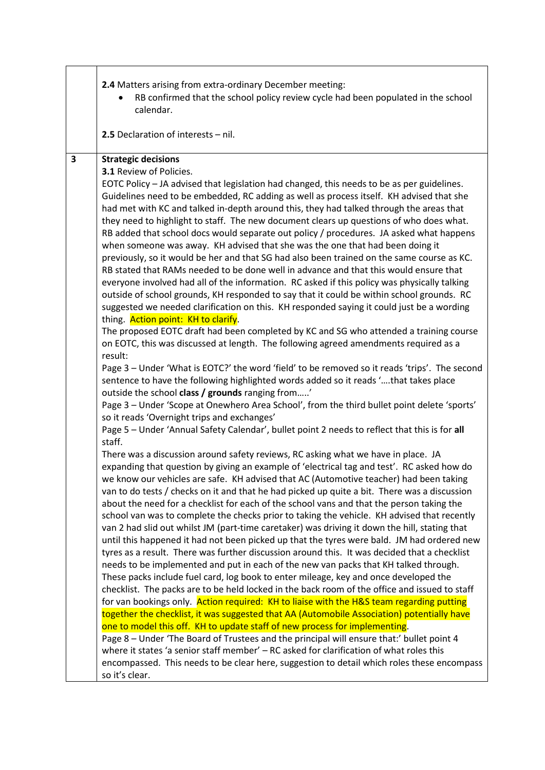|              | 2.4 Matters arising from extra-ordinary December meeting:<br>RB confirmed that the school policy review cycle had been populated in the school<br>calendar.                                                                                                                                                                                                                                                                                                                                                                                                                                                                                                                                                                                                                                                                                                                                                                                                                                                                                                                                                                                                                                                                                                                                                                                                                                                                                                                                                                                                                                                                                                                                                                                                                                                                                                                                                                                                                                                                                                                                                                                                                                                                                                                                                                                                                                                                                                                                                                                                                                                                                                                                                                                                                                                                                                                                                                                                                                                                                                                                                                                                                                                                                                                                                                                                                |
|--------------|----------------------------------------------------------------------------------------------------------------------------------------------------------------------------------------------------------------------------------------------------------------------------------------------------------------------------------------------------------------------------------------------------------------------------------------------------------------------------------------------------------------------------------------------------------------------------------------------------------------------------------------------------------------------------------------------------------------------------------------------------------------------------------------------------------------------------------------------------------------------------------------------------------------------------------------------------------------------------------------------------------------------------------------------------------------------------------------------------------------------------------------------------------------------------------------------------------------------------------------------------------------------------------------------------------------------------------------------------------------------------------------------------------------------------------------------------------------------------------------------------------------------------------------------------------------------------------------------------------------------------------------------------------------------------------------------------------------------------------------------------------------------------------------------------------------------------------------------------------------------------------------------------------------------------------------------------------------------------------------------------------------------------------------------------------------------------------------------------------------------------------------------------------------------------------------------------------------------------------------------------------------------------------------------------------------------------------------------------------------------------------------------------------------------------------------------------------------------------------------------------------------------------------------------------------------------------------------------------------------------------------------------------------------------------------------------------------------------------------------------------------------------------------------------------------------------------------------------------------------------------------------------------------------------------------------------------------------------------------------------------------------------------------------------------------------------------------------------------------------------------------------------------------------------------------------------------------------------------------------------------------------------------------------------------------------------------------------------------------------------------|
|              | 2.5 Declaration of interests - nil.                                                                                                                                                                                                                                                                                                                                                                                                                                                                                                                                                                                                                                                                                                                                                                                                                                                                                                                                                                                                                                                                                                                                                                                                                                                                                                                                                                                                                                                                                                                                                                                                                                                                                                                                                                                                                                                                                                                                                                                                                                                                                                                                                                                                                                                                                                                                                                                                                                                                                                                                                                                                                                                                                                                                                                                                                                                                                                                                                                                                                                                                                                                                                                                                                                                                                                                                        |
| $\mathbf{3}$ | <b>Strategic decisions</b><br>3.1 Review of Policies.<br>EOTC Policy - JA advised that legislation had changed, this needs to be as per guidelines.<br>Guidelines need to be embedded, RC adding as well as process itself. KH advised that she<br>had met with KC and talked in-depth around this, they had talked through the areas that<br>they need to highlight to staff. The new document clears up questions of who does what.<br>RB added that school docs would separate out policy / procedures. JA asked what happens<br>when someone was away. KH advised that she was the one that had been doing it<br>previously, so it would be her and that SG had also been trained on the same course as KC.<br>RB stated that RAMs needed to be done well in advance and that this would ensure that<br>everyone involved had all of the information. RC asked if this policy was physically talking<br>outside of school grounds, KH responded to say that it could be within school grounds. RC<br>suggested we needed clarification on this. KH responded saying it could just be a wording<br>thing. Action point: KH to clarify.<br>The proposed EOTC draft had been completed by KC and SG who attended a training course<br>on EOTC, this was discussed at length. The following agreed amendments required as a<br>result:<br>Page 3 - Under 'What is EOTC?' the word 'field' to be removed so it reads 'trips'. The second<br>sentence to have the following highlighted words added so it reads 'that takes place<br>outside the school class / grounds ranging from'<br>Page 3 - Under 'Scope at Onewhero Area School', from the third bullet point delete 'sports'<br>so it reads 'Overnight trips and exchanges'<br>Page 5 - Under 'Annual Safety Calendar', bullet point 2 needs to reflect that this is for all<br>staff.<br>There was a discussion around safety reviews, RC asking what we have in place. JA<br>expanding that question by giving an example of 'electrical tag and test'. RC asked how do<br>we know our vehicles are safe. KH advised that AC (Automotive teacher) had been taking<br>van to do tests / checks on it and that he had picked up quite a bit. There was a discussion<br>about the need for a checklist for each of the school vans and that the person taking the<br>school van was to complete the checks prior to taking the vehicle. KH advised that recently<br>van 2 had slid out whilst JM (part-time caretaker) was driving it down the hill, stating that<br>until this happened it had not been picked up that the tyres were bald. JM had ordered new<br>tyres as a result. There was further discussion around this. It was decided that a checklist<br>needs to be implemented and put in each of the new van packs that KH talked through.<br>These packs include fuel card, log book to enter mileage, key and once developed the<br>checklist. The packs are to be held locked in the back room of the office and issued to staff<br>for van bookings only. Action required: KH to liaise with the H&S team regarding putting<br>together the checklist, it was suggested that AA (Automobile Association) potentially have<br>one to model this off. KH to update staff of new process for implementing.<br>Page 8 - Under 'The Board of Trustees and the principal will ensure that:' bullet point 4 |
|              | where it states 'a senior staff member' $-$ RC asked for clarification of what roles this<br>encompassed. This needs to be clear here, suggestion to detail which roles these encompass<br>so it's clear.                                                                                                                                                                                                                                                                                                                                                                                                                                                                                                                                                                                                                                                                                                                                                                                                                                                                                                                                                                                                                                                                                                                                                                                                                                                                                                                                                                                                                                                                                                                                                                                                                                                                                                                                                                                                                                                                                                                                                                                                                                                                                                                                                                                                                                                                                                                                                                                                                                                                                                                                                                                                                                                                                                                                                                                                                                                                                                                                                                                                                                                                                                                                                                  |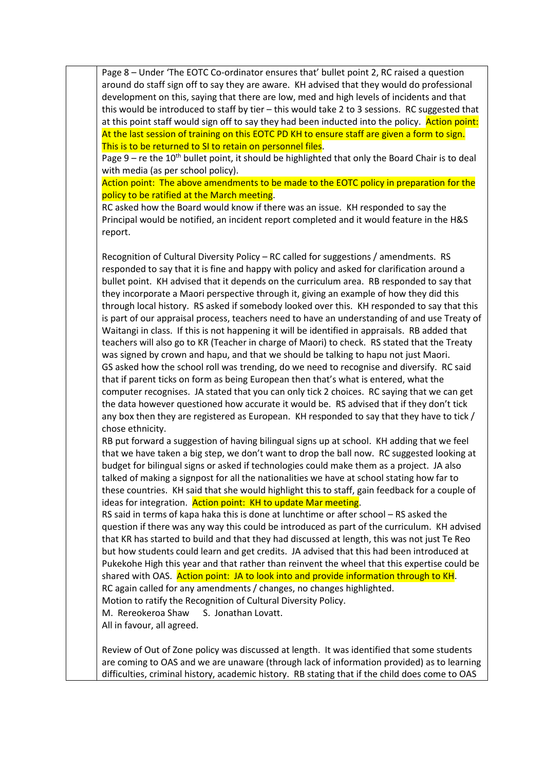Page 8 – Under 'The EOTC Co-ordinator ensures that' bullet point 2, RC raised a question around do staff sign off to say they are aware. KH advised that they would do professional development on this, saying that there are low, med and high levels of incidents and that this would be introduced to staff by tier – this would take 2 to 3 sessions. RC suggested that at this point staff would sign off to say they had been inducted into the policy. Action point: At the last session of training on this EOTC PD KH to ensure staff are given a form to sign. This is to be returned to SI to retain on personnel files.

Page  $9$  – re the 10<sup>th</sup> bullet point, it should be highlighted that only the Board Chair is to deal with media (as per school policy).

Action point: The above amendments to be made to the EOTC policy in preparation for the policy to be ratified at the March meeting.

RC asked how the Board would know if there was an issue. KH responded to say the Principal would be notified, an incident report completed and it would feature in the H&S report.

Recognition of Cultural Diversity Policy – RC called for suggestions / amendments. RS responded to say that it is fine and happy with policy and asked for clarification around a bullet point. KH advised that it depends on the curriculum area. RB responded to say that they incorporate a Maori perspective through it, giving an example of how they did this through local history. RS asked if somebody looked over this. KH responded to say that this is part of our appraisal process, teachers need to have an understanding of and use Treaty of Waitangi in class. If this is not happening it will be identified in appraisals. RB added that teachers will also go to KR (Teacher in charge of Maori) to check. RS stated that the Treaty was signed by crown and hapu, and that we should be talking to hapu not just Maori. GS asked how the school roll was trending, do we need to recognise and diversify. RC said that if parent ticks on form as being European then that's what is entered, what the computer recognises. JA stated that you can only tick 2 choices. RC saying that we can get the data however questioned how accurate it would be. RS advised that if they don't tick any box then they are registered as European. KH responded to say that they have to tick / chose ethnicity.

RB put forward a suggestion of having bilingual signs up at school. KH adding that we feel that we have taken a big step, we don't want to drop the ball now. RC suggested looking at budget for bilingual signs or asked if technologies could make them as a project. JA also talked of making a signpost for all the nationalities we have at school stating how far to these countries. KH said that she would highlight this to staff, gain feedback for a couple of ideas for integration. Action point: KH to update Mar meeting.

RS said in terms of kapa haka this is done at lunchtime or after school – RS asked the question if there was any way this could be introduced as part of the curriculum. KH advised that KR has started to build and that they had discussed at length, this was not just Te Reo but how students could learn and get credits. JA advised that this had been introduced at Pukekohe High this year and that rather than reinvent the wheel that this expertise could be shared with OAS. Action point: JA to look into and provide information through to KH. RC again called for any amendments / changes, no changes highlighted.

Motion to ratify the Recognition of Cultural Diversity Policy.

M. Rereokeroa Shaw S. Jonathan Lovatt.

All in favour, all agreed.

Review of Out of Zone policy was discussed at length. It was identified that some students are coming to OAS and we are unaware (through lack of information provided) as to learning difficulties, criminal history, academic history. RB stating that if the child does come to OAS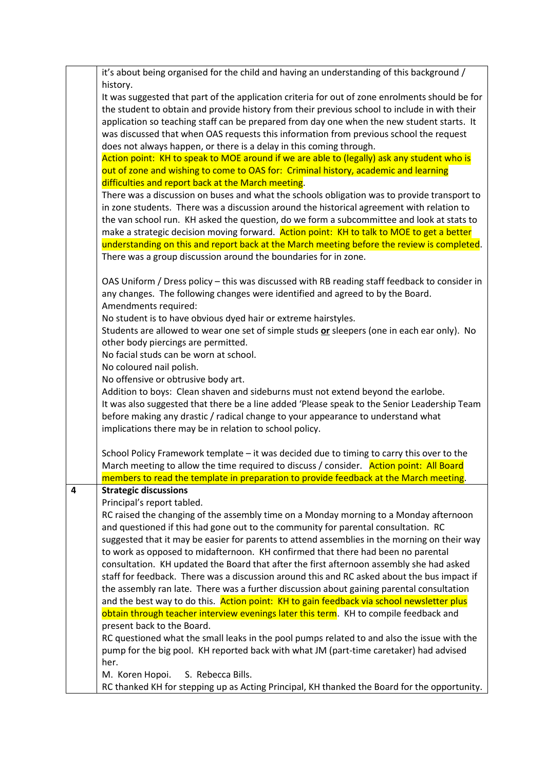|   | it's about being organised for the child and having an understanding of this background /<br>history. |
|---|-------------------------------------------------------------------------------------------------------|
|   | It was suggested that part of the application criteria for out of zone enrolments should be for       |
|   | the student to obtain and provide history from their previous school to include in with their         |
|   | application so teaching staff can be prepared from day one when the new student starts. It            |
|   | was discussed that when OAS requests this information from previous school the request                |
|   |                                                                                                       |
|   | does not always happen, or there is a delay in this coming through.                                   |
|   | Action point: KH to speak to MOE around if we are able to (legally) ask any student who is            |
|   | out of zone and wishing to come to OAS for: Criminal history, academic and learning                   |
|   | difficulties and report back at the March meeting.                                                    |
|   | There was a discussion on buses and what the schools obligation was to provide transport to           |
|   | in zone students. There was a discussion around the historical agreement with relation to             |
|   | the van school run. KH asked the question, do we form a subcommittee and look at stats to             |
|   | make a strategic decision moving forward. Action point: KH to talk to MOE to get a better             |
|   | understanding on this and report back at the March meeting before the review is completed.            |
|   | There was a group discussion around the boundaries for in zone.                                       |
|   | OAS Uniform / Dress policy - this was discussed with RB reading staff feedback to consider in         |
|   | any changes. The following changes were identified and agreed to by the Board.                        |
|   | Amendments required:                                                                                  |
|   | No student is to have obvious dyed hair or extreme hairstyles.                                        |
|   | Students are allowed to wear one set of simple studs or sleepers (one in each ear only). No           |
|   | other body piercings are permitted.                                                                   |
|   | No facial studs can be worn at school.                                                                |
|   | No coloured nail polish.                                                                              |
|   | No offensive or obtrusive body art.                                                                   |
|   | Addition to boys: Clean shaven and sideburns must not extend beyond the earlobe.                      |
|   | It was also suggested that there be a line added 'Please speak to the Senior Leadership Team          |
|   | before making any drastic / radical change to your appearance to understand what                      |
|   | implications there may be in relation to school policy.                                               |
|   |                                                                                                       |
|   | School Policy Framework template - it was decided due to timing to carry this over to the             |
|   | March meeting to allow the time required to discuss / consider. Action point: All Board               |
|   | members to read the template in preparation to provide feedback at the March meeting.                 |
| 4 | <b>Strategic discussions</b>                                                                          |
|   | Principal's report tabled.                                                                            |
|   | RC raised the changing of the assembly time on a Monday morning to a Monday afternoon                 |
|   | and questioned if this had gone out to the community for parental consultation. RC                    |
|   | suggested that it may be easier for parents to attend assemblies in the morning on their way          |
|   | to work as opposed to midafternoon. KH confirmed that there had been no parental                      |
|   | consultation. KH updated the Board that after the first afternoon assembly she had asked              |
|   | staff for feedback. There was a discussion around this and RC asked about the bus impact if           |
|   | the assembly ran late. There was a further discussion about gaining parental consultation             |
|   | and the best way to do this. Action point: KH to gain feedback via school newsletter plus             |
|   | obtain through teacher interview evenings later this term. KH to compile feedback and                 |
|   | present back to the Board.                                                                            |
|   | RC questioned what the small leaks in the pool pumps related to and also the issue with the           |
|   | pump for the big pool. KH reported back with what JM (part-time caretaker) had advised                |
|   | her.                                                                                                  |
|   | M. Koren Hopoi.<br>S. Rebecca Bills.                                                                  |
|   | RC thanked KH for stepping up as Acting Principal, KH thanked the Board for the opportunity.          |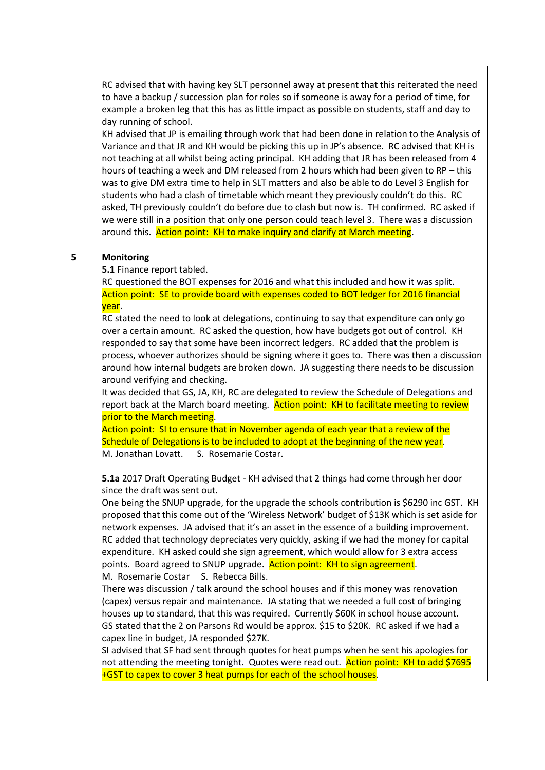RC advised that with having key SLT personnel away at present that this reiterated the need to have a backup / succession plan for roles so if someone is away for a period of time, for example a broken leg that this has as little impact as possible on students, staff and day to day running of school.

KH advised that JP is emailing through work that had been done in relation to the Analysis of Variance and that JR and KH would be picking this up in JP's absence. RC advised that KH is not teaching at all whilst being acting principal. KH adding that JR has been released from 4 hours of teaching a week and DM released from 2 hours which had been given to RP – this was to give DM extra time to help in SLT matters and also be able to do Level 3 English for students who had a clash of timetable which meant they previously couldn't do this. RC asked, TH previously couldn't do before due to clash but now is. TH confirmed. RC asked if we were still in a position that only one person could teach level 3. There was a discussion around this. Action point: KH to make inquiry and clarify at March meeting.

## **5 Monitoring**

**5.1** Finance report tabled.

RC questioned the BOT expenses for 2016 and what this included and how it was split. Action point: SE to provide board with expenses coded to BOT ledger for 2016 financial year.

RC stated the need to look at delegations, continuing to say that expenditure can only go over a certain amount. RC asked the question, how have budgets got out of control. KH responded to say that some have been incorrect ledgers. RC added that the problem is process, whoever authorizes should be signing where it goes to. There was then a discussion around how internal budgets are broken down. JA suggesting there needs to be discussion around verifying and checking.

It was decided that GS, JA, KH, RC are delegated to review the Schedule of Delegations and report back at the March board meeting. Action point: KH to facilitate meeting to review prior to the March meeting.

Action point: SI to ensure that in November agenda of each year that a review of the Schedule of Delegations is to be included to adopt at the beginning of the new year. M. Jonathan Lovatt. S. Rosemarie Costar.

**5.1a** 2017 Draft Operating Budget - KH advised that 2 things had come through her door since the draft was sent out.

One being the SNUP upgrade, for the upgrade the schools contribution is \$6290 inc GST. KH proposed that this come out of the 'Wireless Network' budget of \$13K which is set aside for network expenses. JA advised that it's an asset in the essence of a building improvement. RC added that technology depreciates very quickly, asking if we had the money for capital expenditure. KH asked could she sign agreement, which would allow for 3 extra access points. Board agreed to SNUP upgrade. Action point: KH to sign agreement. M. Rosemarie Costar S. Rebecca Bills.

There was discussion / talk around the school houses and if this money was renovation (capex) versus repair and maintenance. JA stating that we needed a full cost of bringing houses up to standard, that this was required. Currently \$60K in school house account. GS stated that the 2 on Parsons Rd would be approx. \$15 to \$20K. RC asked if we had a capex line in budget, JA responded \$27K.

SI advised that SF had sent through quotes for heat pumps when he sent his apologies for not attending the meeting tonight. Quotes were read out. Action point: KH to add \$7695 +GST to capex to cover 3 heat pumps for each of the school houses.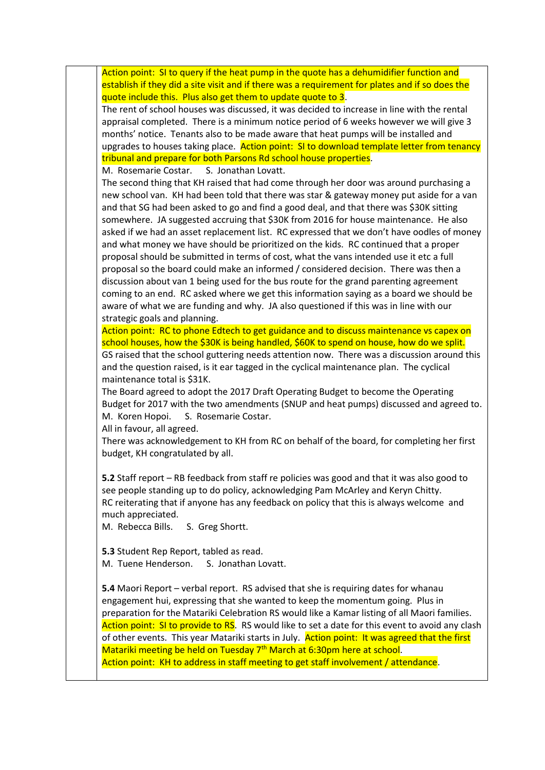Action point: SI to query if the heat pump in the quote has a dehumidifier function and establish if they did a site visit and if there was a requirement for plates and if so does the quote include this. Plus also get them to update quote to 3.

The rent of school houses was discussed, it was decided to increase in line with the rental appraisal completed. There is a minimum notice period of 6 weeks however we will give 3 months' notice. Tenants also to be made aware that heat pumps will be installed and upgrades to houses taking place. Action point: SI to download template letter from tenancy tribunal and prepare for both Parsons Rd school house properties.

M. Rosemarie Costar. S. Jonathan Lovatt.

The second thing that KH raised that had come through her door was around purchasing a new school van. KH had been told that there was star & gateway money put aside for a van and that SG had been asked to go and find a good deal, and that there was \$30K sitting somewhere. JA suggested accruing that \$30K from 2016 for house maintenance. He also asked if we had an asset replacement list. RC expressed that we don't have oodles of money and what money we have should be prioritized on the kids. RC continued that a proper proposal should be submitted in terms of cost, what the vans intended use it etc a full proposal so the board could make an informed / considered decision. There was then a discussion about van 1 being used for the bus route for the grand parenting agreement coming to an end. RC asked where we get this information saying as a board we should be aware of what we are funding and why. JA also questioned if this was in line with our strategic goals and planning.

Action point: RC to phone Edtech to get guidance and to discuss maintenance vs capex on school houses, how the \$30K is being handled, \$60K to spend on house, how do we split. GS raised that the school guttering needs attention now. There was a discussion around this and the question raised, is it ear tagged in the cyclical maintenance plan. The cyclical maintenance total is \$31K.

The Board agreed to adopt the 2017 Draft Operating Budget to become the Operating Budget for 2017 with the two amendments (SNUP and heat pumps) discussed and agreed to. M. Koren Hopoi. S. Rosemarie Costar.

All in favour, all agreed.

There was acknowledgement to KH from RC on behalf of the board, for completing her first budget, KH congratulated by all.

**5.2** Staff report – RB feedback from staff re policies was good and that it was also good to see people standing up to do policy, acknowledging Pam McArley and Keryn Chitty. RC reiterating that if anyone has any feedback on policy that this is always welcome and much appreciated.

M. Rebecca Bills. S. Greg Shortt.

**5.3** Student Rep Report, tabled as read. M. Tuene Henderson. S. Jonathan Lovatt.

**5.4** Maori Report – verbal report. RS advised that she is requiring dates for whanau engagement hui, expressing that she wanted to keep the momentum going. Plus in preparation for the Matariki Celebration RS would like a Kamar listing of all Maori families. Action point: SI to provide to RS. RS would like to set a date for this event to avoid any clash of other events. This year Matariki starts in July. Action point: It was agreed that the first Matariki meeting be held on Tuesday 7<sup>th</sup> March at 6:30pm here at school. Action point: KH to address in staff meeting to get staff involvement / attendance.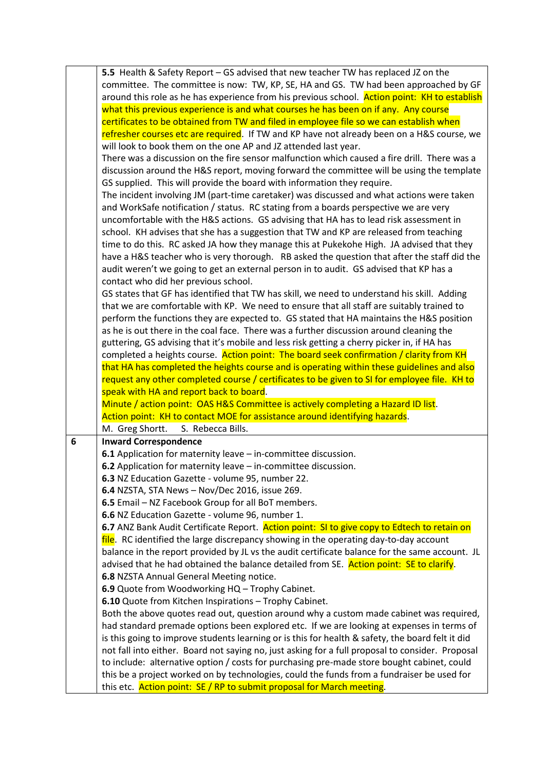|   | 5.5 Health & Safety Report - GS advised that new teacher TW has replaced JZ on the                                                                              |
|---|-----------------------------------------------------------------------------------------------------------------------------------------------------------------|
|   | committee. The committee is now: TW, KP, SE, HA and GS. TW had been approached by GF                                                                            |
|   | around this role as he has experience from his previous school. Action point: KH to establish                                                                   |
|   | what this previous experience is and what courses he has been on if any. Any course                                                                             |
|   | certificates to be obtained from TW and filed in employee file so we can establish when                                                                         |
|   | refresher courses etc are required. If TW and KP have not already been on a H&S course, we                                                                      |
|   | will look to book them on the one AP and JZ attended last year.                                                                                                 |
|   | There was a discussion on the fire sensor malfunction which caused a fire drill. There was a                                                                    |
|   | discussion around the H&S report, moving forward the committee will be using the template                                                                       |
|   | GS supplied. This will provide the board with information they require.                                                                                         |
|   | The incident involving JM (part-time caretaker) was discussed and what actions were taken                                                                       |
|   | and WorkSafe notification / status. RC stating from a boards perspective we are very                                                                            |
|   | uncomfortable with the H&S actions. GS advising that HA has to lead risk assessment in                                                                          |
|   | school. KH advises that she has a suggestion that TW and KP are released from teaching                                                                          |
|   | time to do this. RC asked JA how they manage this at Pukekohe High. JA advised that they                                                                        |
|   | have a H&S teacher who is very thorough. RB asked the question that after the staff did the                                                                     |
|   | audit weren't we going to get an external person in to audit. GS advised that KP has a                                                                          |
|   | contact who did her previous school.                                                                                                                            |
|   | GS states that GF has identified that TW has skill, we need to understand his skill. Adding                                                                     |
|   | that we are comfortable with KP. We need to ensure that all staff are suitably trained to                                                                       |
|   | perform the functions they are expected to. GS stated that HA maintains the H&S position                                                                        |
|   | as he is out there in the coal face. There was a further discussion around cleaning the                                                                         |
|   | guttering, GS advising that it's mobile and less risk getting a cherry picker in, if HA has                                                                     |
|   | completed a heights course. Action point: The board seek confirmation / clarity from KH                                                                         |
|   | that HA has completed the heights course and is operating within these guidelines and also                                                                      |
|   |                                                                                                                                                                 |
|   |                                                                                                                                                                 |
|   | request any other completed course / certificates to be given to SI for employee file. KH to<br>speak with HA and report back to board.                         |
|   |                                                                                                                                                                 |
|   | Minute / action point: OAS H&S Committee is actively completing a Hazard ID list.<br>Action point: KH to contact MOE for assistance around identifying hazards. |
|   | M. Greg Shortt.<br>S. Rebecca Bills.                                                                                                                            |
| 6 | <b>Inward Correspondence</b>                                                                                                                                    |
|   | 6.1 Application for maternity leave - in-committee discussion.                                                                                                  |
|   | 6.2 Application for maternity leave - in-committee discussion.                                                                                                  |
|   | 6.3 NZ Education Gazette - volume 95, number 22.                                                                                                                |
|   | 6.4 NZSTA, STA News - Nov/Dec 2016, issue 269.                                                                                                                  |
|   | 6.5 Email - NZ Facebook Group for all BoT members.                                                                                                              |
|   | 6.6 NZ Education Gazette - volume 96, number 1.                                                                                                                 |
|   | 6.7 ANZ Bank Audit Certificate Report. Action point: SI to give copy to Edtech to retain on                                                                     |
|   | file. RC identified the large discrepancy showing in the operating day-to-day account                                                                           |
|   | balance in the report provided by JL vs the audit certificate balance for the same account. JL                                                                  |
|   | advised that he had obtained the balance detailed from SE. Action point: SE to clarify.                                                                         |
|   | 6.8 NZSTA Annual General Meeting notice.                                                                                                                        |
|   | 6.9 Quote from Woodworking HQ - Trophy Cabinet.                                                                                                                 |
|   | 6.10 Quote from Kitchen Inspirations - Trophy Cabinet.                                                                                                          |
|   | Both the above quotes read out, question around why a custom made cabinet was required,                                                                         |
|   | had standard premade options been explored etc. If we are looking at expenses in terms of                                                                       |
|   | is this going to improve students learning or is this for health & safety, the board felt it did                                                                |
|   | not fall into either. Board not saying no, just asking for a full proposal to consider. Proposal                                                                |
|   | to include: alternative option / costs for purchasing pre-made store bought cabinet, could                                                                      |
|   | this be a project worked on by technologies, could the funds from a fundraiser be used for                                                                      |